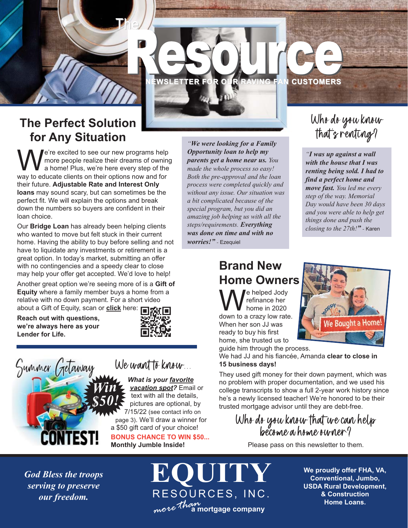

### **The Perfect Solution for Any Situation**

We're excited to see our new programs help<br>a home! Plus, we're here every step of the<br>way to educate clients on their ortions now and for more people realize their dreams of owning a home! Plus, we're here every step of the way to educate clients on their options now and for their future. **Adjustable Rate and Interest Only loans** may sound scary, but can sometimes be the perfect fit. We will explain the options and break down the numbers so buyers are confident in their loan choice.

Our **Bridge Loan** has already been helping clients who wanted to move but felt stuck in their current home. Having the ability to buy before selling and not have to liquidate any investments or retirement is a great option. In today's market, submitting an offer with no contingencies and a speedy clear to close may help your offer get accepted. We'd love to help!

Another great option we're seeing more of is a **Gift of Equity** where a family member buys a home from a relative with no down payment. For a short video about a Gift of Equity, scan or **[clic](https://youtu.be/EvMAX6eH8Cc)k** here:

**Reach out with questions, we're always here as your Lender for Life.**







*What is your favorite vacation spot?* Email or text with all the details, pictures are optional, by 7/15/22 (see contact info on page 3). We'll draw a winner for a \$50 gift card of your choice! **BONUS CHANCE TO WIN \$50...**

**Monthly Jumble Inside!**

*"We were looking for a Family Opportunity loan to help my parents get a home near us. You made the whole process so easy! Both the pre-approval and the loan process were completed quickly and without any issue. Our situation was a bit complicated because of the special program, but you did an amazing job helping us with all the steps/requirements. Everything was done on time and with no worries!" -* Ezequiel

**NEWSLETTER FOR OUR RAVING FAN CUSTOMERS**

## Who do you know that's renting?

*"I was up against a wall with the house that I was renting being sold. I had to find a perfect home and move fast. You led me every step of the way. Memorial Day would have been 30 days and you were able to help get things done and push the closing to the 27th!" -* Karen

### **Brand New Home Owners**

We helped Jody<br>down to a crazy low rate. refinance her home in 2020 When her son JJ was ready to buy his first home, she trusted us to guide him through the process.



We had JJ and his fiancée, Amanda **clear to close in 15 business days!**

They used gift money for their down payment, which was no problem with proper documentation, and we used his college transcripts to show a full 2-year work history since he's a newly licensed teacher! We're honored to be their trusted mortgage advisor until they are debt-free.

Who do you know that we can help become a home owner?

Please pass on this newsletter to them.

*God Bless the troops serving to preserve*

*our freedom. more than***a mortgage company EQUITY** RESOURCES, INC.

**We proudly offer FHA, VA, Conventional, Jumbo, USDA Rural Development, & Construction Home Loans.**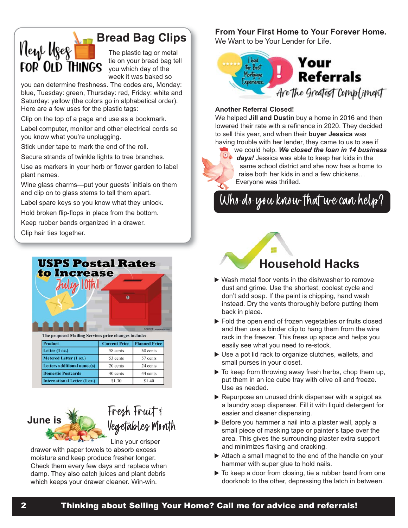

### **Bread Bag Clips**

The plastic tag or metal tie on your bread bag tell you which day of the week it was baked so

you can determine freshness. The codes are, Monday: blue, Tuesday: green, Thursday: red, Friday: white and Saturday: yellow (the colors go in alphabetical order). Here are a few uses for the plastic tags:

Clip on the top of a page and use as a bookmark.

Label computer, monitor and other electrical cords so you know what you're unplugging.

Stick under tape to mark the end of the roll.

Secure strands of twinkle lights to tree branches.

Use as markers in your herb or flower garden to label plant names.

Wine glass charms—put your guests' initials on them and clip on to glass stems to tell them apart.

Label spare keys so you know what they unlock.

Hold broken flip-flops in place from the bottom.

Keep rubber bands organized in a drawer.

Clip hair ties together.

|                                                                        | ഩ                    | SOURCE: www.usps.com |
|------------------------------------------------------------------------|----------------------|----------------------|
|                                                                        |                      |                      |
| The proposed Mailing Services price changes include:<br><b>Product</b> | <b>Current Price</b> | <b>Planned Price</b> |
| Letter $(1 \text{ oz.})$                                               | 58 cents             | 60 cents             |
| Metered Letter (1 oz.)                                                 | 53 cents             | 57 cents             |
| Letters additional ounce(s)                                            | 20 cents             | 24 cents             |
| <b>Domestic Postcards</b>                                              | 40 cents             | 44 cents             |

# **June is** Fresh Fruit & Vegetables Month

Line your crisper drawer with paper towels to absorb excess moisture and keep produce fresher longer. Check them every few days and replace when damp. They also catch juices and plant debris which keeps your drawer cleaner. Win-win.

#### **From Your First Home to Your Forever Home.**

We Want to be Your Lender for Life.



#### **Another Referral Closed!**

We helped **Jill and Dustin** buy a home in 2016 and then lowered their rate with a refinance in 2020. They decided to sell this year, and when their **buyer Jessica** was having trouble with her lender, they came to us to see if

we could help. *We closed the loan in 14 business days!* Jessica was able to keep her kids in the same school district and she now has a home to raise both her kids in and a few chickens… Everyone was thrilled.

Who do you know that we can help?

# **Household Hacks**

- $\blacktriangleright$  Wash metal floor vents in the dishwasher to remove dust and grime. Use the shortest, coolest cycle and don't add soap. If the paint is chipping, hand wash instead. Dry the vents thoroughly before putting them back in place.
- $\triangleright$  Fold the open end of frozen vegetables or fruits closed and then use a binder clip to hang them from the wire rack in the freezer. This frees up space and helps you easily see what you need to re-stock.
- $\blacktriangleright$  Use a pot lid rack to organize clutches, wallets, and small purses in your closet.
- $\triangleright$  To keep from throwing away fresh herbs, chop them up, put them in an ice cube tray with olive oil and freeze. Use as needed.
- $\triangleright$  Repurpose an unused drink dispenser with a spigot as a laundry soap dispenser. Fill it with liquid detergent for easier and cleaner dispensing.
- $\triangleright$  Before you hammer a nail into a plaster wall, apply a small piece of masking tape or painter's tape over the area. This gives the surrounding plaster extra support and minimizes flaking and cracking.
- $\triangleright$  Attach a small magnet to the end of the handle on your hammer with super glue to hold nails.
- $\triangleright$  To keep a door from closing, tie a rubber band from one doorknob to the other, depressing the latch in between.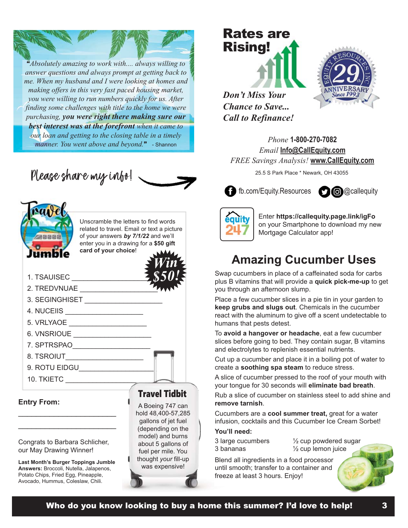"*Absolutely amazing to work with.... always willing to answer questions and always prompt at getting back to me. When my husband and I were looking at homes and making offers in this very fast paced housing market, you were willing to run numbers quickly for us. After finding some challenges with title to the home we were purchasing, you were right there making sure our best interest was at the forefront when it came to our loan and getting to the closing table in a timely manner. You went above and beyond.*" - Shannon





Unscramble the letters to find words related to travel. Email or text a picture of your answers *by 7/1/22* and we'll enter you in a drawing for a **\$50 gift card of your choice**!

- 1. TSAUISEC **with a set of the set of the set of the set of the set of the set of the set of the set of the set of the set of the set of the set of the set of the set of the set of the set of the set of the set of the set**
- 2. TREDVNUAE \_\_\_\_\_\_\_\_\_\_\_\_\_\_\_\_\_\_\_\_
- 3. SEGINGHISET
- 4. NUCEIIS \_\_\_\_\_\_\_\_\_\_\_\_\_\_\_\_\_\_\_\_
- 5. VRLYAOE \_\_\_\_\_\_\_\_\_\_\_\_\_\_\_\_\_\_\_\_\_\_\_\_
- 6. VNSRIOUE \_\_\_\_\_\_\_\_\_\_\_\_\_\_\_\_\_\_\_\_\_\_\_
- 7. SPTRSPAO\_\_\_\_\_\_\_\_\_\_\_\_\_\_\_\_\_\_\_\_
- 8. TSROIUT
- 9. ROTU EIDGU\_\_\_\_\_\_\_\_\_\_\_\_\_\_\_\_\_\_\_\_

10. TKIETC \_\_\_\_\_\_\_\_\_\_\_\_\_\_\_\_\_\_\_\_

**Entry From:**

#### Congrats to Barbara Schlicher, our May Drawing Winner!

\_\_\_\_\_\_\_\_\_\_\_\_\_\_\_\_\_\_\_\_\_\_ \_\_\_\_\_\_\_\_\_\_\_\_\_\_\_\_\_\_\_\_\_\_

**Last Month's Burger Toppings Jumble Answers:** Broccoli, Nutella, Jalapenos, Potato Chips, Fried Egg, Pineapple, Avocado, Hummus, Coleslaw, Chili.

#### Travel Tidbit

*Win*

*\$50!*

A Boeing 747 can hold 48,400-57,285 gallons of jet fuel (depending on the model) and burns about 5 gallons of fuel per mile. You thought *your* fill-up was expensive!

# Rates are Rising!



*Don't Miss Your Chance to Save... Call to Refinance!*

*Phone* **1-800-270-7082** *Email* **Info@CallEquity.com** *FREE Savings Analysis!* **www.CallEquity.com**

25.5 S Park Place \* Newark, OH 43055





Enter **https://callequity.page.link/igFo** on your Smartphone to download my new Mortgage Calculator app!

### **Amazing Cucumber Uses**

Swap cucumbers in place of a caffeinated soda for carbs plus B vitamins that will provide a **quick pick-me-up** to get you through an afternoon slump.

Place a few cucumber slices in a pie tin in your garden to **keep grubs and slugs out**. Chemicals in the cucumber react with the aluminum to give off a scent undetectable to humans that pests detest.

To **avoid a hangover or headache**, eat a few cucumber slices before going to bed. They contain sugar, B vitamins and electrolytes to replenish essential nutrients.

Cut up a cucumber and place it in a boiling pot of water to create a **soothing spa steam** to reduce stress.

A slice of cucumber pressed to the roof of your mouth with your tongue for 30 seconds will **eliminate bad breath**.

Rub a slice of cucumber on stainless steel to add shine and **remove tarnish**.

Cucumbers are a **cool summer treat,** great for a water infusion, cocktails and this Cucumber Ice Cream Sorbet!

#### **You'll need:**

3 large cucumbers 3 bananas

½ cup powdered sugar ½ cup lemon juice

Blend all ingredients in a food processor until smooth; transfer to a container and freeze at least 3 hours. Enjoy!